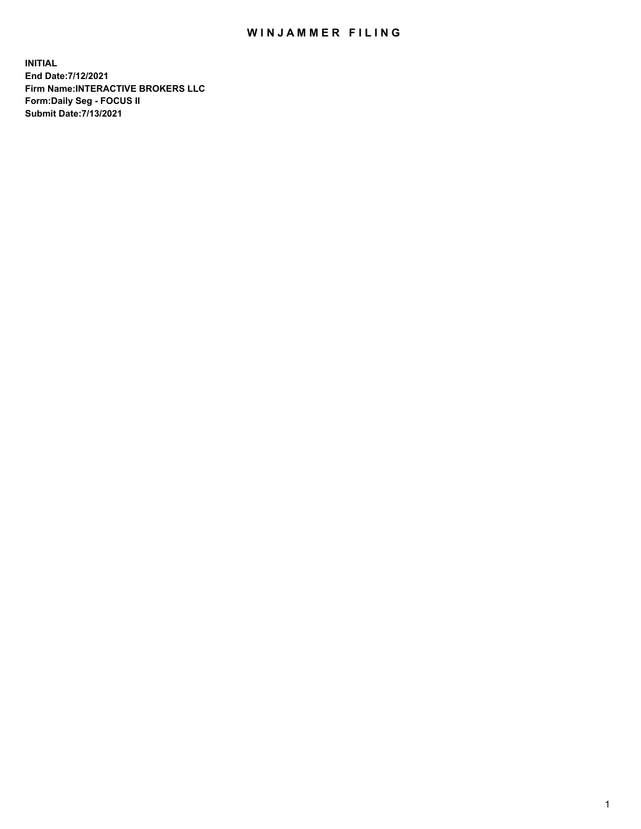## WIN JAMMER FILING

**INITIAL End Date:7/12/2021 Firm Name:INTERACTIVE BROKERS LLC Form:Daily Seg - FOCUS II Submit Date:7/13/2021**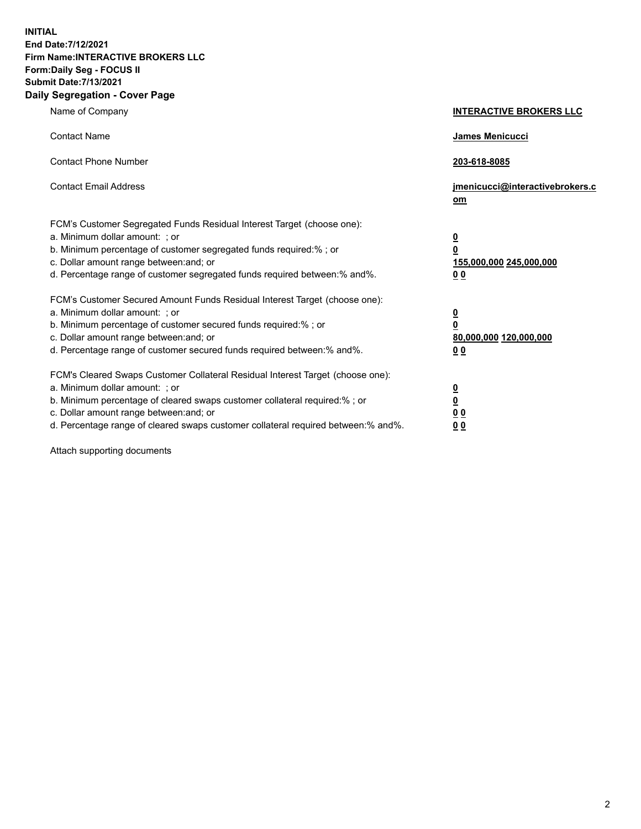**INITIAL End Date:7/12/2021 Firm Name:INTERACTIVE BROKERS LLC Form:Daily Seg - FOCUS II Submit Date:7/13/2021 Daily Segregation - Cover Page**

| Name of Company                                                                                                                                                                                                                                                                                                                | <b>INTERACTIVE BROKERS LLC</b>                                                     |
|--------------------------------------------------------------------------------------------------------------------------------------------------------------------------------------------------------------------------------------------------------------------------------------------------------------------------------|------------------------------------------------------------------------------------|
| <b>Contact Name</b>                                                                                                                                                                                                                                                                                                            | James Menicucci                                                                    |
| <b>Contact Phone Number</b>                                                                                                                                                                                                                                                                                                    | 203-618-8085                                                                       |
| <b>Contact Email Address</b>                                                                                                                                                                                                                                                                                                   | jmenicucci@interactivebrokers.c<br>om                                              |
| FCM's Customer Segregated Funds Residual Interest Target (choose one):<br>a. Minimum dollar amount: ; or<br>b. Minimum percentage of customer segregated funds required:% ; or<br>c. Dollar amount range between: and; or<br>d. Percentage range of customer segregated funds required between:% and%.                         | $\overline{\mathbf{0}}$<br>$\pmb{0}$<br>155,000,000 245,000,000<br>0 <sub>0</sub>  |
| FCM's Customer Secured Amount Funds Residual Interest Target (choose one):<br>a. Minimum dollar amount: ; or<br>b. Minimum percentage of customer secured funds required:% ; or<br>c. Dollar amount range between: and; or<br>d. Percentage range of customer secured funds required between:% and%.                           | $\overline{\mathbf{0}}$<br>$\overline{\mathbf{0}}$<br>80,000,000 120,000,000<br>00 |
| FCM's Cleared Swaps Customer Collateral Residual Interest Target (choose one):<br>a. Minimum dollar amount: ; or<br>b. Minimum percentage of cleared swaps customer collateral required:% ; or<br>c. Dollar amount range between: and; or<br>d. Percentage range of cleared swaps customer collateral required between:% and%. | $\frac{0}{0}$<br>0 <sub>0</sub><br>0 <sub>0</sub>                                  |

Attach supporting documents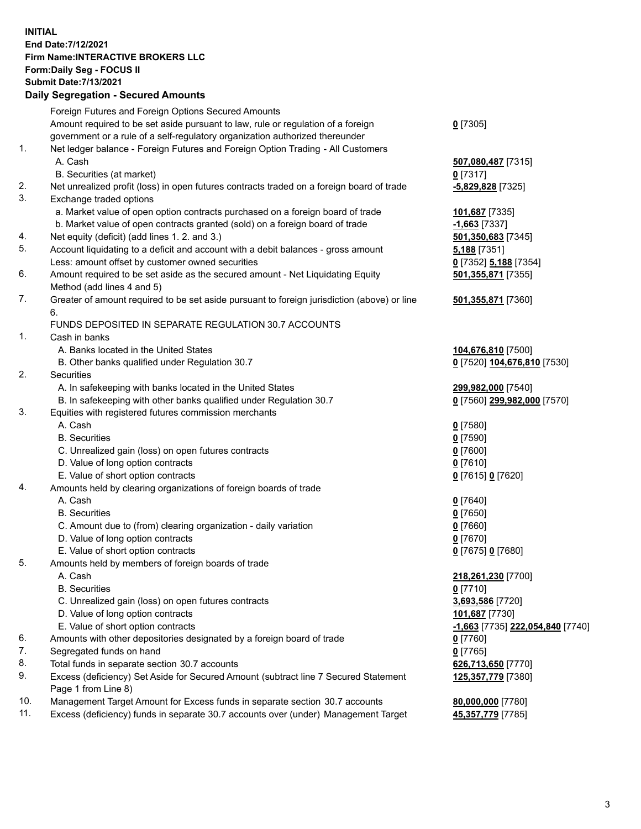**INITIAL End Date:7/12/2021 Firm Name:INTERACTIVE BROKERS LLC Form:Daily Seg - FOCUS II Submit Date:7/13/2021 Daily Segregation - Secured Amounts**

|     | Foreign Futures and Foreign Options Secured Amounts                                                        |                                               |
|-----|------------------------------------------------------------------------------------------------------------|-----------------------------------------------|
|     | Amount required to be set aside pursuant to law, rule or regulation of a foreign                           | $0$ [7305]                                    |
|     | government or a rule of a self-regulatory organization authorized thereunder                               |                                               |
| 1.  | Net ledger balance - Foreign Futures and Foreign Option Trading - All Customers                            |                                               |
|     | A. Cash                                                                                                    | 507,080,487 [7315]                            |
|     | B. Securities (at market)                                                                                  | $0$ [7317]                                    |
| 2.  | Net unrealized profit (loss) in open futures contracts traded on a foreign board of trade                  | -5,829,828 [7325]                             |
| 3.  | Exchange traded options                                                                                    |                                               |
|     | a. Market value of open option contracts purchased on a foreign board of trade                             | 101,687 [7335]                                |
|     | b. Market value of open contracts granted (sold) on a foreign board of trade                               | -1,663 [7337]                                 |
| 4.  | Net equity (deficit) (add lines 1. 2. and 3.)                                                              | 501,350,683 [7345]                            |
| 5.  | Account liquidating to a deficit and account with a debit balances - gross amount                          | 5,188 [7351]                                  |
|     | Less: amount offset by customer owned securities                                                           | 0 [7352] 5,188 [7354]                         |
| 6.  | Amount required to be set aside as the secured amount - Net Liquidating Equity                             | 501,355,871 [7355]                            |
|     | Method (add lines 4 and 5)                                                                                 |                                               |
| 7.  | Greater of amount required to be set aside pursuant to foreign jurisdiction (above) or line                | 501,355,871 [7360]                            |
|     | 6.                                                                                                         |                                               |
|     | FUNDS DEPOSITED IN SEPARATE REGULATION 30.7 ACCOUNTS                                                       |                                               |
| 1.  | Cash in banks                                                                                              |                                               |
|     | A. Banks located in the United States                                                                      | 104,676,810 [7500]                            |
|     | B. Other banks qualified under Regulation 30.7                                                             | 0 [7520] 104,676,810 [7530]                   |
| 2.  | Securities                                                                                                 |                                               |
|     | A. In safekeeping with banks located in the United States                                                  | 299,982,000 [7540]                            |
|     | B. In safekeeping with other banks qualified under Regulation 30.7                                         | 0 [7560] 299,982,000 [7570]                   |
| 3.  | Equities with registered futures commission merchants                                                      |                                               |
|     | A. Cash                                                                                                    | $0$ [7580]                                    |
|     | <b>B.</b> Securities                                                                                       | $0$ [7590]                                    |
|     | C. Unrealized gain (loss) on open futures contracts                                                        | $0$ [7600]                                    |
|     | D. Value of long option contracts                                                                          | $0$ [7610]                                    |
|     | E. Value of short option contracts                                                                         | 0 [7615] 0 [7620]                             |
| 4.  | Amounts held by clearing organizations of foreign boards of trade                                          |                                               |
|     | A. Cash                                                                                                    | $0$ [7640]                                    |
|     | <b>B.</b> Securities                                                                                       | $0$ [7650]                                    |
|     | C. Amount due to (from) clearing organization - daily variation                                            | $0$ [7660]                                    |
|     | D. Value of long option contracts                                                                          | $0$ [7670]                                    |
|     | E. Value of short option contracts                                                                         | 0 [7675] 0 [7680]                             |
| 5.  | Amounts held by members of foreign boards of trade                                                         |                                               |
|     | A. Cash                                                                                                    | 218,261,230 [7700]                            |
|     | <b>B.</b> Securities                                                                                       | $0$ [7710]                                    |
|     | C. Unrealized gain (loss) on open futures contracts                                                        | 3,693,586 [7720]                              |
|     | D. Value of long option contracts                                                                          | 101,687 [7730]                                |
|     | E. Value of short option contracts                                                                         | <mark>-1,663</mark> [7735] 222,054,840 [7740] |
| 6.  | Amounts with other depositories designated by a foreign board of trade                                     | 0 [7760]                                      |
| 7.  | Segregated funds on hand                                                                                   | $0$ [7765]                                    |
| 8.  | Total funds in separate section 30.7 accounts                                                              | 626,713,650 [7770]                            |
| 9.  | Excess (deficiency) Set Aside for Secured Amount (subtract line 7 Secured Statement<br>Page 1 from Line 8) | 125,357,779 [7380]                            |
| 10. | Management Target Amount for Excess funds in separate section 30.7 accounts                                | 80,000,000 [7780]                             |
| 11. | Excess (deficiency) funds in separate 30.7 accounts over (under) Management Target                         | 45,357,779 [7785]                             |
|     |                                                                                                            |                                               |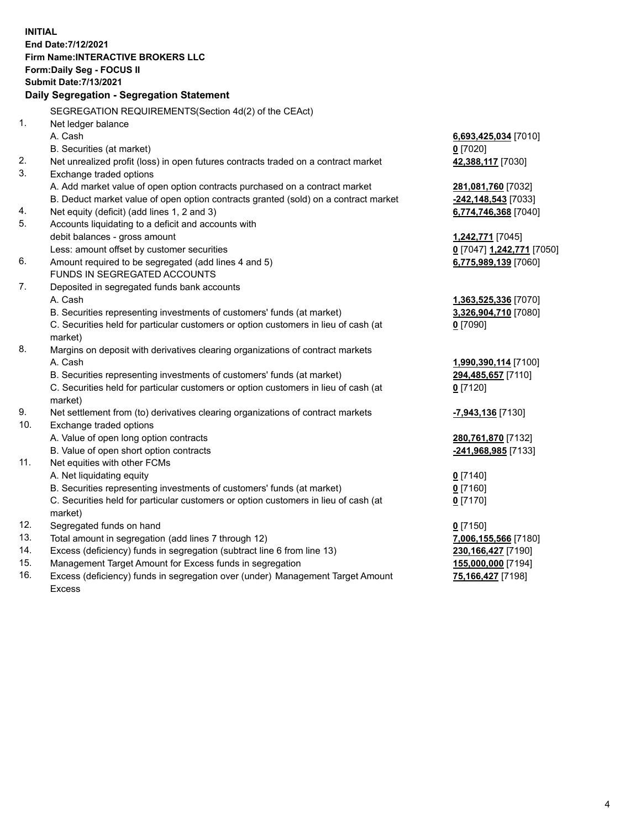**INITIAL End Date:7/12/2021 Firm Name:INTERACTIVE BROKERS LLC Form:Daily Seg - FOCUS II Submit Date:7/13/2021 Daily Segregation - Segregation Statement** SEGREGATION REQUIREMENTS(Section 4d(2) of the CEAct) 1. Net ledger balance A. Cash **6,693,425,034** [7010] B. Securities (at market) **0** [7020] 2. Net unrealized profit (loss) in open futures contracts traded on a contract market **42,388,117** [7030] 3. Exchange traded options A. Add market value of open option contracts purchased on a contract market **281,081,760** [7032] B. Deduct market value of open option contracts granted (sold) on a contract market **-242,148,543** [7033] 4. Net equity (deficit) (add lines 1, 2 and 3) **6,774,746,368** [7040] 5. Accounts liquidating to a deficit and accounts with debit balances - gross amount **1,242,771** [7045] Less: amount offset by customer securities **0** [7047] **1,242,771** [7050] 6. Amount required to be segregated (add lines 4 and 5) **6,775,989,139** [7060] FUNDS IN SEGREGATED ACCOUNTS 7. Deposited in segregated funds bank accounts A. Cash **1,363,525,336** [7070] B. Securities representing investments of customers' funds (at market) **3,326,904,710** [7080] C. Securities held for particular customers or option customers in lieu of cash (at market) **0** [7090] 8. Margins on deposit with derivatives clearing organizations of contract markets A. Cash **1,990,390,114** [7100] B. Securities representing investments of customers' funds (at market) **294,485,657** [7110] C. Securities held for particular customers or option customers in lieu of cash (at market) **0** [7120] 9. Net settlement from (to) derivatives clearing organizations of contract markets **-7,943,136** [7130] 10. Exchange traded options A. Value of open long option contracts **280,761,870** [7132] B. Value of open short option contracts **-241,968,985** [7133] 11. Net equities with other FCMs A. Net liquidating equity **0** [7140] B. Securities representing investments of customers' funds (at market) **0** [7160] C. Securities held for particular customers or option customers in lieu of cash (at market) **0** [7170] 12. Segregated funds on hand **0** [7150] 13. Total amount in segregation (add lines 7 through 12) **7,006,155,566** [7180] 14. Excess (deficiency) funds in segregation (subtract line 6 from line 13) **230,166,427** [7190] 15. Management Target Amount for Excess funds in segregation **155,000,000** [7194] **75,166,427** [7198]

16. Excess (deficiency) funds in segregation over (under) Management Target Amount Excess